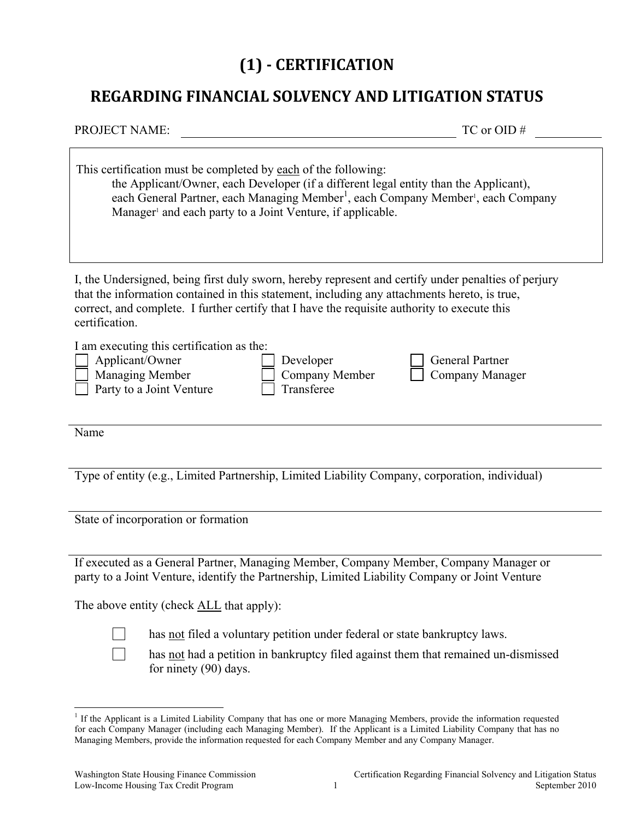# **(1) CERTIFICATION**

### **REGARDING FINANCIAL SOLVENCY AND LITIGATION STATUS**

| <b>PROJECT NAME:</b>                                                                                                                                                                                                                                                                                                  |                                                                                                                                                                 | $TC$ or $OID \#$                                                                                          |
|-----------------------------------------------------------------------------------------------------------------------------------------------------------------------------------------------------------------------------------------------------------------------------------------------------------------------|-----------------------------------------------------------------------------------------------------------------------------------------------------------------|-----------------------------------------------------------------------------------------------------------|
| This certification must be completed by each of the following:                                                                                                                                                                                                                                                        | the Applicant/Owner, each Developer (if a different legal entity than the Applicant),<br>Manager <sup>1</sup> and each party to a Joint Venture, if applicable. | each General Partner, each Managing Member <sup>1</sup> , each Company Member <sup>1</sup> , each Company |
| I, the Undersigned, being first duly sworn, hereby represent and certify under penalties of perjury<br>that the information contained in this statement, including any attachments hereto, is true,<br>correct, and complete. I further certify that I have the requisite authority to execute this<br>certification. |                                                                                                                                                                 |                                                                                                           |
| I am executing this certification as the:<br>Applicant/Owner<br>Managing Member<br>Party to a Joint Venture                                                                                                                                                                                                           | Developer<br>Company Member<br>Transferee                                                                                                                       | <b>General Partner</b><br>Company Manager                                                                 |
| Name                                                                                                                                                                                                                                                                                                                  |                                                                                                                                                                 |                                                                                                           |
| Type of entity (e.g., Limited Partnership, Limited Liability Company, corporation, individual)                                                                                                                                                                                                                        |                                                                                                                                                                 |                                                                                                           |

State of incorporation or formation

If executed as a General Partner, Managing Member, Company Member, Company Manager or party to a Joint Venture, identify the Partnership, Limited Liability Company or Joint Venture

The above entity (check **ALL** that apply):

 $\overline{a}$ 

has not filed a voluntary petition under federal or state bankruptcy laws.

 has not had a petition in bankruptcy filed against them that remained un-dismissed for ninety (90) days.

<sup>&</sup>lt;sup>1</sup> If the Applicant is a Limited Liability Company that has one or more Managing Members, provide the information requested for each Company Manager (including each Managing Member). If the Applicant is a Limited Liability Company that has no Managing Members, provide the information requested for each Company Member and any Company Manager.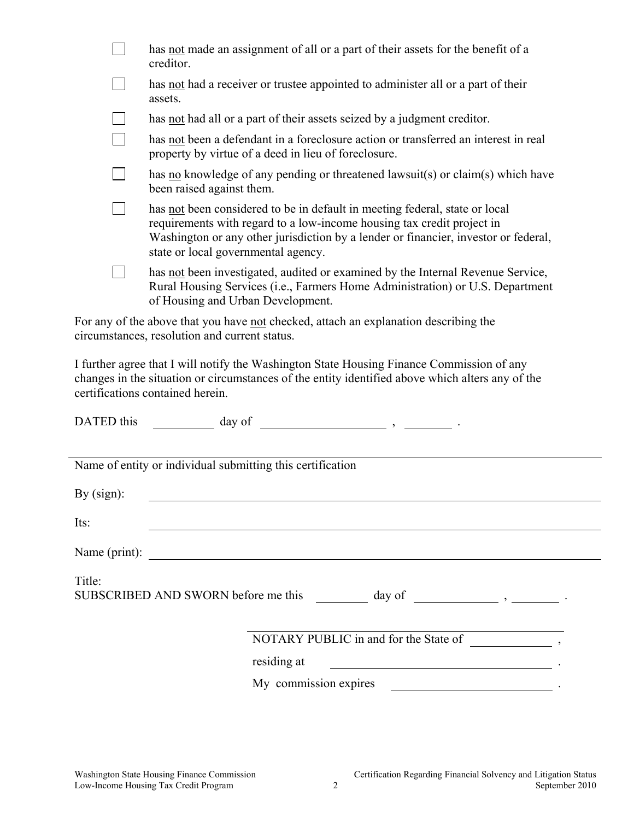| has not made an assignment of all or a part of their assets for the benefit of a<br>creditor.                                                                                                                                                                                       |
|-------------------------------------------------------------------------------------------------------------------------------------------------------------------------------------------------------------------------------------------------------------------------------------|
| has not had a receiver or trustee appointed to administer all or a part of their<br>assets.                                                                                                                                                                                         |
| has <u>not</u> had all or a part of their assets seized by a judgment creditor.                                                                                                                                                                                                     |
| has not been a defendant in a foreclosure action or transferred an interest in real<br>property by virtue of a deed in lieu of foreclosure.                                                                                                                                         |
| has <u>no</u> knowledge of any pending or threatened lawsuit(s) or claim(s) which have<br>been raised against them.                                                                                                                                                                 |
| has not been considered to be in default in meeting federal, state or local<br>requirements with regard to a low-income housing tax credit project in<br>Washington or any other jurisdiction by a lender or financier, investor or federal,<br>state or local governmental agency. |
| has not been investigated, audited or examined by the Internal Revenue Service,<br>Rural Housing Services (i.e., Farmers Home Administration) or U.S. Department<br>of Housing and Urban Development.                                                                               |
| For any of the above that you have not checked, attach an explanation describing the<br>circumstances, resolution and current status.                                                                                                                                               |

I further agree that I will notify the Washington State Housing Finance Commission of any changes in the situation or circumstances of the entity identified above which alters any of the certifications contained herein.

| DATED this<br>day of                                       |                                                                                                                                                                                                                                |  |
|------------------------------------------------------------|--------------------------------------------------------------------------------------------------------------------------------------------------------------------------------------------------------------------------------|--|
|                                                            |                                                                                                                                                                                                                                |  |
| Name of entity or individual submitting this certification |                                                                                                                                                                                                                                |  |
| By $(sign)$ :                                              |                                                                                                                                                                                                                                |  |
| Its:                                                       |                                                                                                                                                                                                                                |  |
| Name (print):                                              | <u> 1980 - Jan Stein Stein Stein Stein Stein Stein Stein Stein Stein Stein Stein Stein Stein Stein Stein Stein S</u>                                                                                                           |  |
| Title:                                                     |                                                                                                                                                                                                                                |  |
|                                                            |                                                                                                                                                                                                                                |  |
|                                                            | NOTARY PUBLIC in and for the State of function of the State of the State of the State of the State of the State of the State of the State of the State of the State of the State of the State of the State of the State of the |  |
|                                                            | residing at                                                                                                                                                                                                                    |  |
|                                                            | My commission expires<br><u> 1980 - Andrea State Barbara, política establece</u>                                                                                                                                               |  |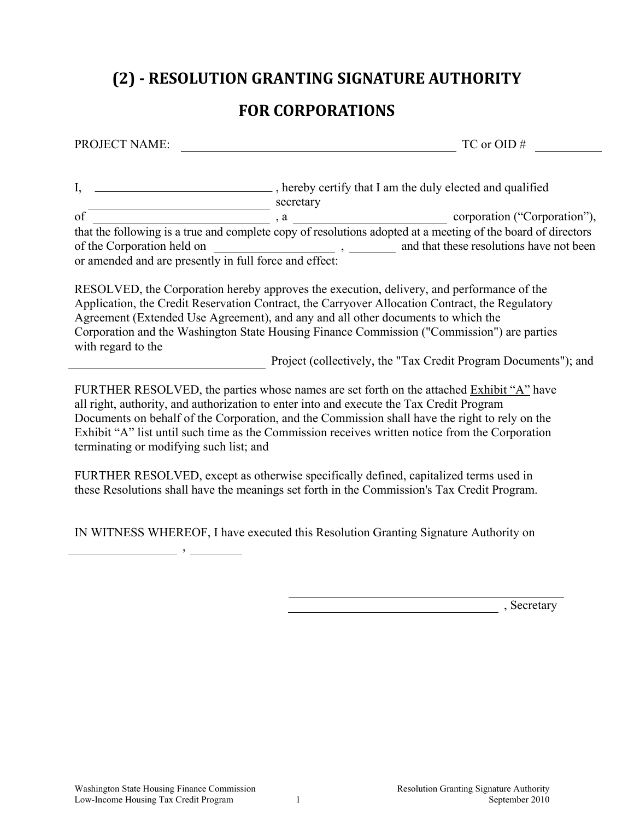# **(2) RESOLUTION GRANTING SIGNATURE AUTHORITY**

### **FOR CORPORATIONS**

PROJECT NAME: TC or OID #

I, \_\_\_\_\_\_\_\_\_\_\_\_\_\_\_\_\_\_\_\_\_\_\_\_\_\_\_\_\_\_\_, hereby certify that I am the duly elected and qualified secretary of corporation and comporation ("Corporation"), a that the following is a true and complete copy of resolutions adopted at a meeting of the board of directors of the Corporation held on  $\alpha$ , and that these resolutions have not been or amended and are presently in full force and effect:

RESOLVED, the Corporation hereby approves the execution, delivery, and performance of the Application, the Credit Reservation Contract, the Carryover Allocation Contract, the Regulatory Agreement (Extended Use Agreement), and any and all other documents to which the Corporation and the Washington State Housing Finance Commission ("Commission") are parties with regard to the

Project (collectively, the "Tax Credit Program Documents"); and

FURTHER RESOLVED, the parties whose names are set forth on the attached Exhibit "A" have all right, authority, and authorization to enter into and execute the Tax Credit Program Documents on behalf of the Corporation, and the Commission shall have the right to rely on the Exhibit "A" list until such time as the Commission receives written notice from the Corporation terminating or modifying such list; and

FURTHER RESOLVED, except as otherwise specifically defined, capitalized terms used in these Resolutions shall have the meanings set forth in the Commission's Tax Credit Program.

IN WITNESS WHEREOF, I have executed this Resolution Granting Signature Authority on

,

, Secretary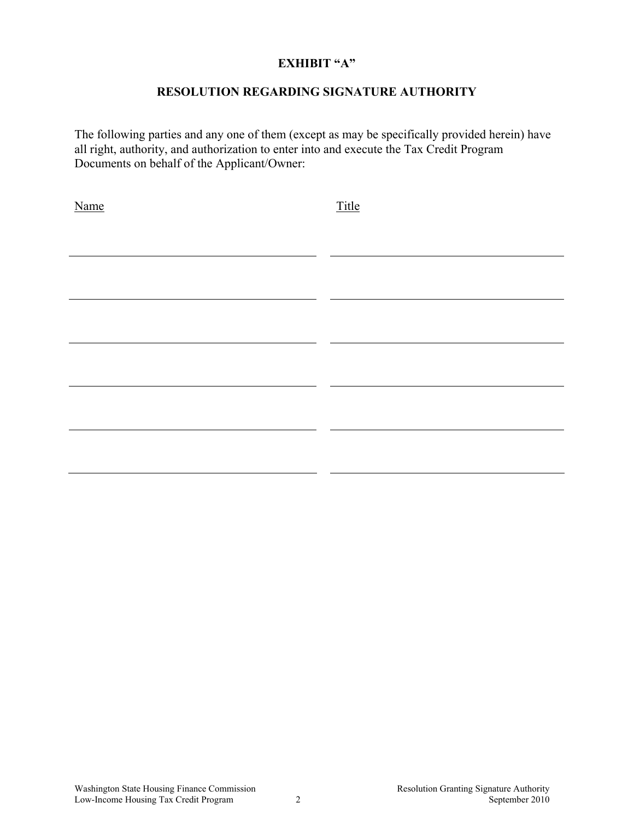#### **EXHIBIT "A"**

#### **RESOLUTION REGARDING SIGNATURE AUTHORITY**

The following parties and any one of them (except as may be specifically provided herein) have all right, authority, and authorization to enter into and execute the Tax Credit Program Documents on behalf of the Applicant/Owner:

| Name | Title |
|------|-------|
|      |       |
|      |       |
|      |       |
|      |       |
|      |       |
|      |       |
|      |       |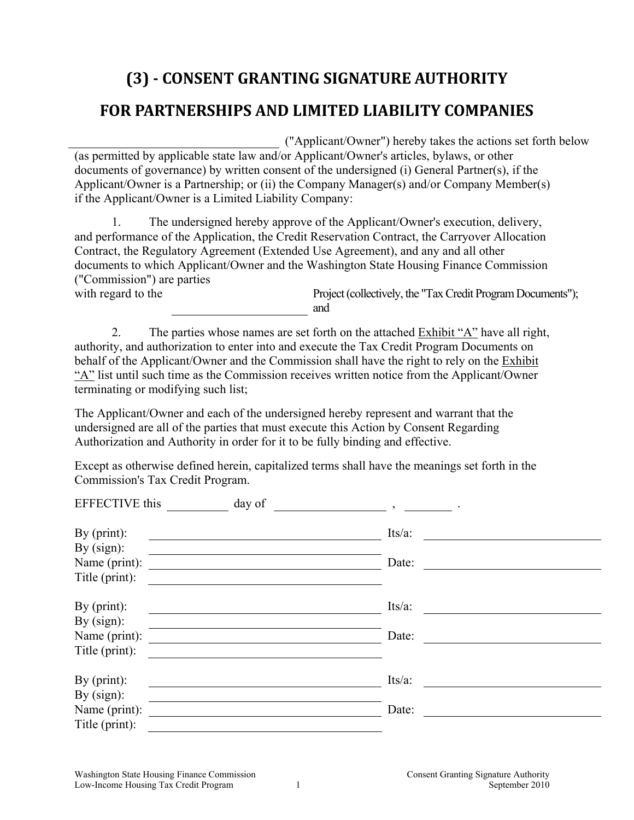# **(3) CONSENT GRANTING SIGNATURE AUTHORITY FOR PARTNERSHIPS AND LIMITED LIABILITY COMPANIES**

("Applicant/Owner") hereby takes the actions set forth below (as permitted by applicable state law and/or Applicant/Owner's articles, bylaws, or other documents of governance) by written consent of the undersigned (i) General Partner(s), if the Applicant/Owner is a Partnership; or (ii) the Company Manager(s) and/or Company Member(s) if the Applicant/Owner is a Limited Liability Company:

 1. The undersigned hereby approve of the Applicant/Owner's execution, delivery, and performance of the Application, the Credit Reservation Contract, the Carryover Allocation Contract, the Regulatory Agreement (Extended Use Agreement), and any and all other documents to which Applicant/Owner and the Washington State Housing Finance Commission ("Commission") are parties

with regard to the Project (collectively, the "Tax Credit Program Documents"); and

 2. The parties whose names are set forth on the attached Exhibit "A" have all right, authority, and authorization to enter into and execute the Tax Credit Program Documents on behalf of the Applicant/Owner and the Commission shall have the right to rely on the Exhibit "A" list until such time as the Commission receives written notice from the Applicant/Owner terminating or modifying such list;

The Applicant/Owner and each of the undersigned hereby represent and warrant that the undersigned are all of the parties that must execute this Action by Consent Regarding Authorization and Authority in order for it to be fully binding and effective.

Except as otherwise defined herein, capitalized terms shall have the meanings set forth in the Commission's Tax Credit Program.

| <b>EFFECTIVE</b> this<br>day of | $\overline{2}$ |  |
|---------------------------------|----------------|--|
| By $(print)$ :                  | $Its/a$ :      |  |
| By $(sign)$ :                   |                |  |
| Name (print):                   | Date:          |  |
| Title (print):                  |                |  |
| By $(print)$ :                  | $Its/a$ :      |  |
| By $(sign)$ :                   |                |  |
| Name (print):                   | Date:          |  |
| Title (print):                  |                |  |
| By $(print)$ :                  | Its/a:         |  |
| By $(sign)$ :                   |                |  |
| Name (print):                   | Date:          |  |
| Title (print):                  |                |  |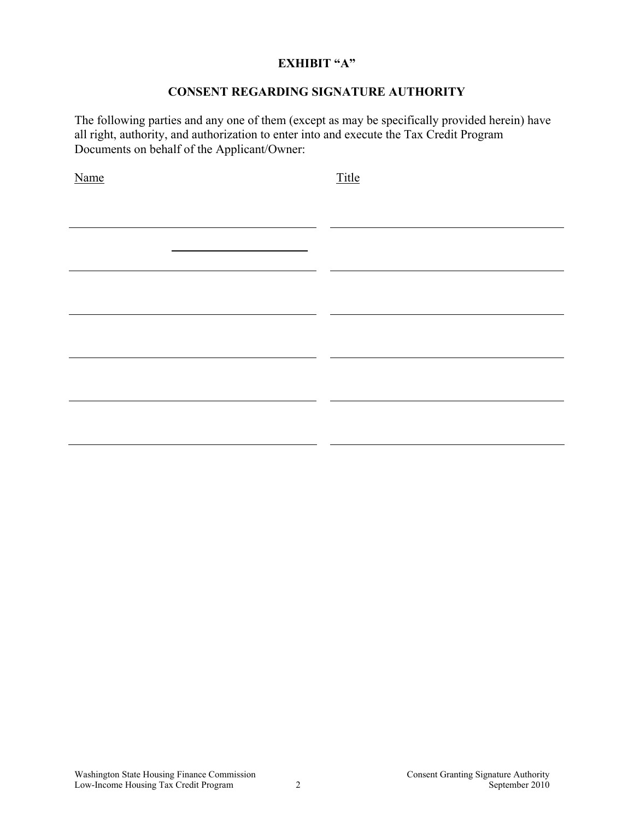#### **EXHIBIT "A"**

#### **CONSENT REGARDING SIGNATURE AUTHORITY**

The following parties and any one of them (except as may be specifically provided herein) have all right, authority, and authorization to enter into and execute the Tax Credit Program Documents on behalf of the Applicant/Owner:

Name Title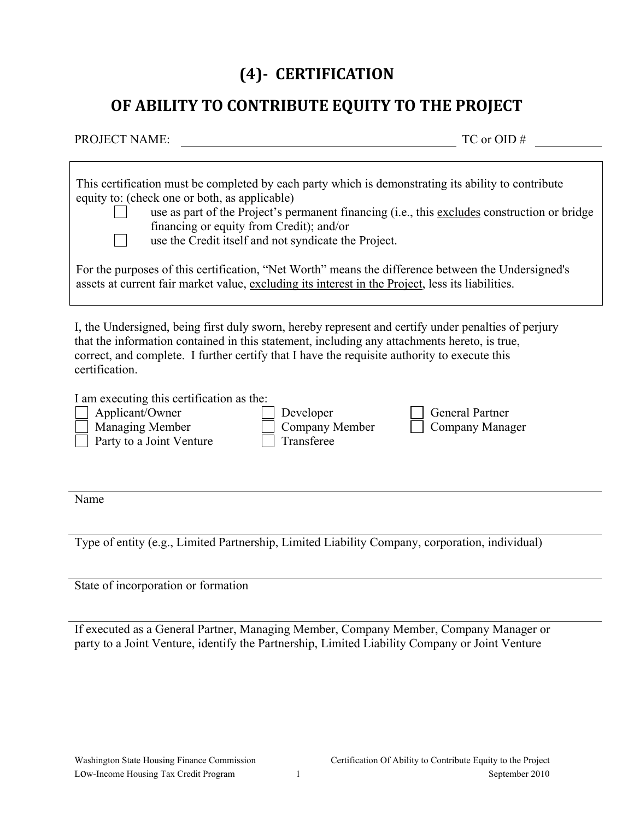# **(4) CERTIFICATION**

### **OF ABILITY TO CONTRIBUTE EQUITY TO THE PROJECT**

| <b>PROJECT NAME:</b> |                                                                                                                                                                                                                                                                                                                                                          | $TC$ or $OID \#$ |
|----------------------|----------------------------------------------------------------------------------------------------------------------------------------------------------------------------------------------------------------------------------------------------------------------------------------------------------------------------------------------------------|------------------|
|                      |                                                                                                                                                                                                                                                                                                                                                          |                  |
|                      | This certification must be completed by each party which is demonstrating its ability to contribute<br>equity to: (check one or both, as applicable)<br>use as part of the Project's permanent financing (i.e., this excludes construction or bridge<br>financing or equity from Credit); and/or<br>use the Credit itself and not syndicate the Project. |                  |
|                      | For the purposes of this certification, "Net Worth" means the difference between the Undersigned's<br>assets at current fair market value, excluding its interest in the Project, less its liabilities.                                                                                                                                                  |                  |
|                      |                                                                                                                                                                                                                                                                                                                                                          |                  |

I, the Undersigned, being first duly sworn, hereby represent and certify under penalties of perjury that the information contained in this statement, including any attachments hereto, is true, correct, and complete. I further certify that I have the requisite authority to execute this certification.

I am executing this certification as the:

Applicant/Owner Developer General Partner

 $\Box$  Party to a Joint Venture  $\Box$  Transferee

Managing Member  $\Box$  Company Member  $\Box$  Company Manager

Name

Type of entity (e.g., Limited Partnership, Limited Liability Company, corporation, individual)

State of incorporation or formation

If executed as a General Partner, Managing Member, Company Member, Company Manager or party to a Joint Venture, identify the Partnership, Limited Liability Company or Joint Venture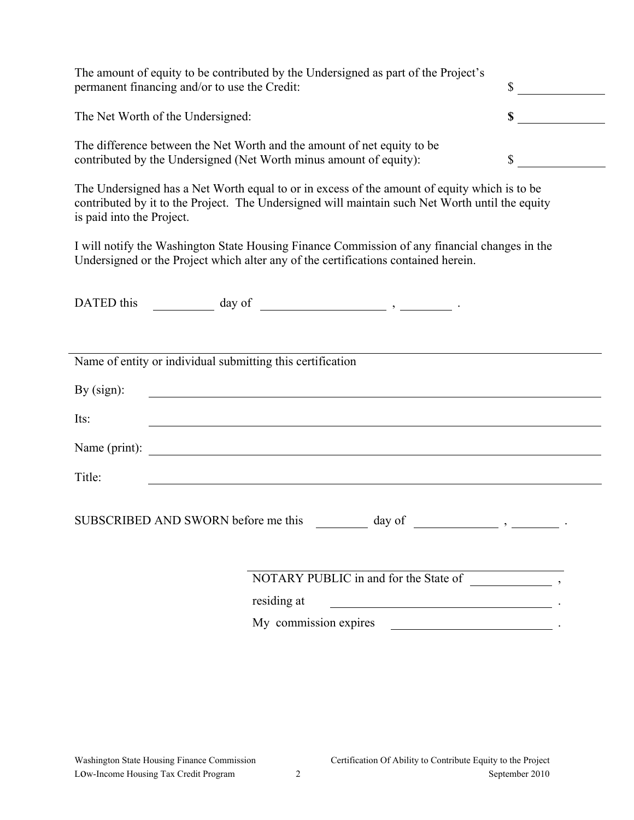| permanent financing and/or to use the Credit:                      | The amount of equity to be contributed by the Undersigned as part of the Project's                                                                                                              | $\sim$ |
|--------------------------------------------------------------------|-------------------------------------------------------------------------------------------------------------------------------------------------------------------------------------------------|--------|
| The Net Worth of the Undersigned:                                  |                                                                                                                                                                                                 | \$     |
| contributed by the Undersigned (Net Worth minus amount of equity): | The difference between the Net Worth and the amount of net equity to be                                                                                                                         | \$     |
| is paid into the Project.                                          | The Undersigned has a Net Worth equal to or in excess of the amount of equity which is to be<br>contributed by it to the Project. The Undersigned will maintain such Net Worth until the equity |        |
|                                                                    | I will notify the Washington State Housing Finance Commission of any financial changes in the<br>Undersigned or the Project which alter any of the certifications contained herein.             |        |
| DATED this                                                         |                                                                                                                                                                                                 |        |
| Name of entity or individual submitting this certification         |                                                                                                                                                                                                 |        |
| By $(sign)$ :                                                      | <u> 1980 - Johann Stoff, deutscher Stoffen und der Stoffen und der Stoffen und der Stoffen und der Stoffen und de</u>                                                                           |        |
| Its:                                                               | <u> 1989 - Johann Stoff, amerikansk politiker (d. 1989)</u>                                                                                                                                     |        |
| Name (print):                                                      | <u> 1989 - Johann Stoff, deutscher Stoffen und der Stoffen und der Stoffen und der Stoffen und der Stoffen und d</u>                                                                            |        |
| Title:                                                             |                                                                                                                                                                                                 |        |
| SUBSCRIBED AND SWORN before me this                                | day of                                                                                                                                                                                          |        |
|                                                                    |                                                                                                                                                                                                 |        |
|                                                                    | residing at<br><u> 1989 - Johann Stoff, fransk politik (d. 1989)</u>                                                                                                                            |        |
|                                                                    | My commission expires                                                                                                                                                                           |        |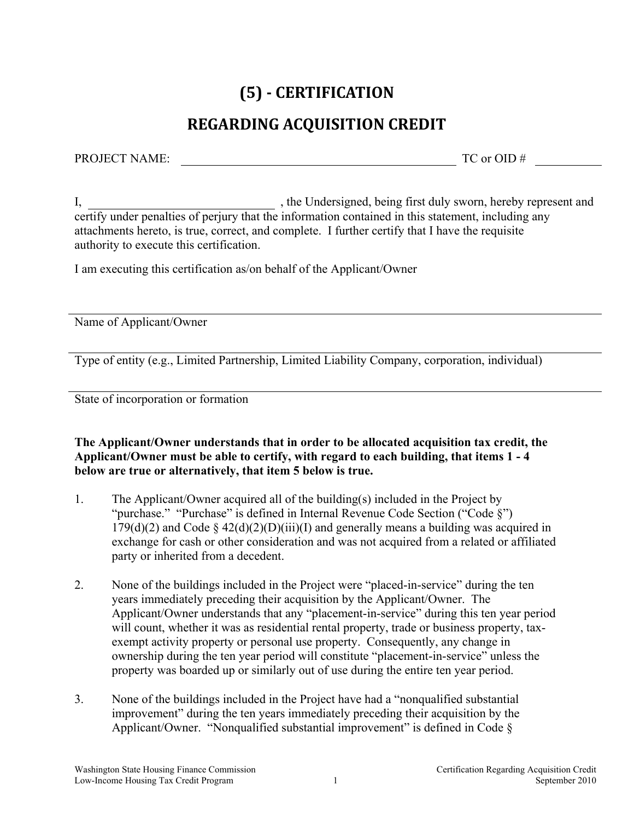# **(5) CERTIFICATION**

# **REGARDING ACQUISITION CREDIT**

PROJECT NAME: TC or OID #

I, the Undersigned, being first duly sworn, hereby represent and certify under penalties of perjury that the information contained in this statement, including any attachments hereto, is true, correct, and complete. I further certify that I have the requisite authority to execute this certification.

I am executing this certification as/on behalf of the Applicant/Owner

Name of Applicant/Owner

Type of entity (e.g., Limited Partnership, Limited Liability Company, corporation, individual)

State of incorporation or formation

**The Applicant/Owner understands that in order to be allocated acquisition tax credit, the Applicant/Owner must be able to certify, with regard to each building, that items 1 - 4 below are true or alternatively, that item 5 below is true.** 

- 1. The Applicant/Owner acquired all of the building(s) included in the Project by "purchase." "Purchase" is defined in Internal Revenue Code Section ("Code §")  $179(d)(2)$  and Code §  $42(d)(2)(D)(iii)(I)$  and generally means a building was acquired in exchange for cash or other consideration and was not acquired from a related or affiliated party or inherited from a decedent.
- 2. None of the buildings included in the Project were "placed-in-service" during the ten years immediately preceding their acquisition by the Applicant/Owner. The Applicant/Owner understands that any "placement-in-service" during this ten year period will count, whether it was as residential rental property, trade or business property, taxexempt activity property or personal use property. Consequently, any change in ownership during the ten year period will constitute "placement-in-service" unless the property was boarded up or similarly out of use during the entire ten year period.
- 3. None of the buildings included in the Project have had a "nonqualified substantial improvement" during the ten years immediately preceding their acquisition by the Applicant/Owner. "Nonqualified substantial improvement" is defined in Code  $\S$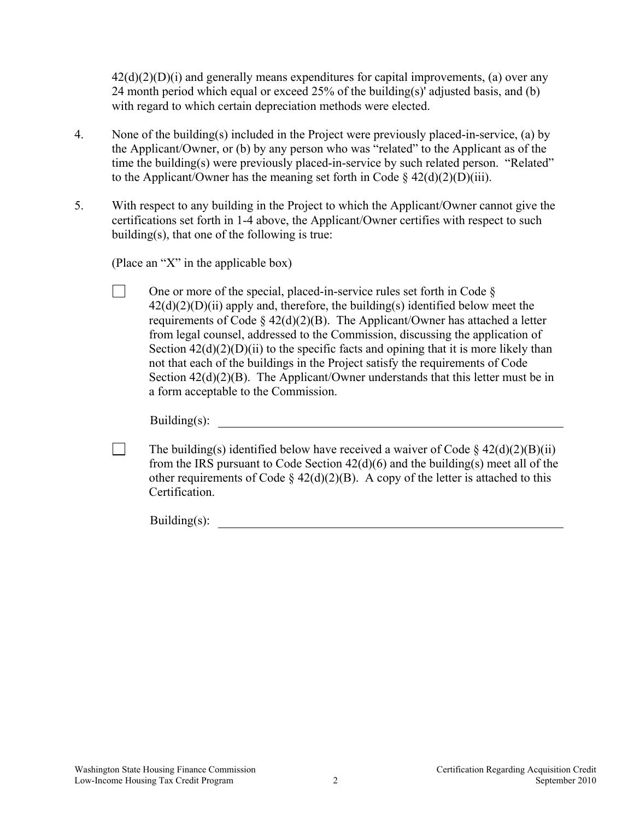$42(d)(2)(D)(i)$  and generally means expenditures for capital improvements, (a) over any 24 month period which equal or exceed 25% of the building(s)' adjusted basis, and (b) with regard to which certain depreciation methods were elected.

- 4. None of the building(s) included in the Project were previously placed-in-service, (a) by the Applicant/Owner, or (b) by any person who was "related" to the Applicant as of the time the building(s) were previously placed-in-service by such related person. "Related" to the Applicant/Owner has the meaning set forth in Code  $\S$  42(d)(2)(D)(iii).
- 5. With respect to any building in the Project to which the Applicant/Owner cannot give the certifications set forth in 1-4 above, the Applicant/Owner certifies with respect to such building(s), that one of the following is true:

(Place an "X" in the applicable box)

One or more of the special, placed-in-service rules set forth in Code  $\S$  $42(d)(2)(D)(ii)$  apply and, therefore, the building(s) identified below meet the requirements of Code  $\S$  42(d)(2)(B). The Applicant/Owner has attached a letter from legal counsel, addressed to the Commission, discussing the application of Section  $42(d)(2)(D)(ii)$  to the specific facts and opining that it is more likely than not that each of the buildings in the Project satisfy the requirements of Code Section  $42(d)(2)(B)$ . The Applicant/Owner understands that this letter must be in a form acceptable to the Commission.

Building $(s)$ :

The building(s) identified below have received a waiver of Code  $\S$  42(d)(2)(B)(ii) from the IRS pursuant to Code Section 42(d)(6) and the building(s) meet all of the other requirements of Code §  $42(d)(2)(B)$ . A copy of the letter is attached to this **Certification** 

Building(s):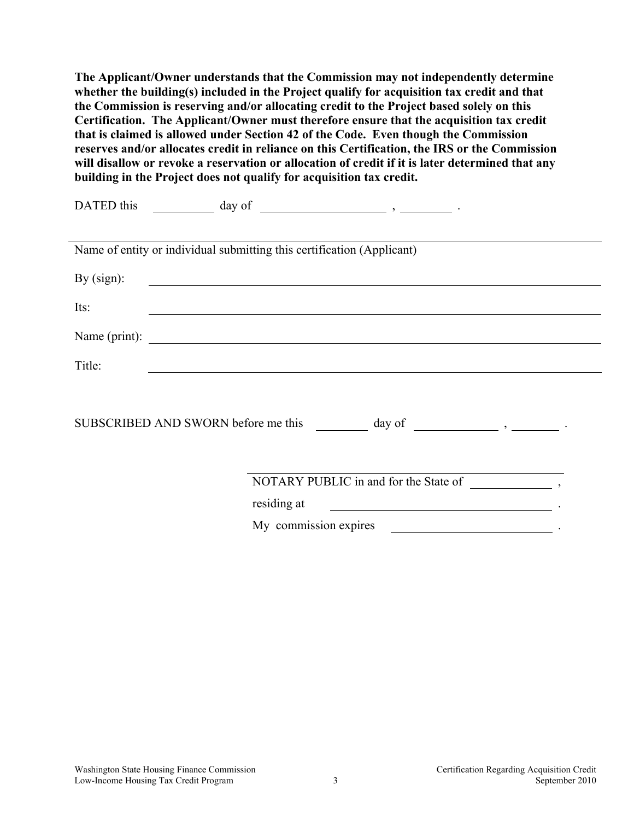**The Applicant/Owner understands that the Commission may not independently determine whether the building(s) included in the Project qualify for acquisition tax credit and that the Commission is reserving and/or allocating credit to the Project based solely on this Certification. The Applicant/Owner must therefore ensure that the acquisition tax credit that is claimed is allowed under Section 42 of the Code. Even though the Commission reserves and/or allocates credit in reliance on this Certification, the IRS or the Commission will disallow or revoke a reservation or allocation of credit if it is later determined that any building in the Project does not qualify for acquisition tax credit.** 

| Name of entity or individual submitting this certification (Applicant) |                                                              |
|------------------------------------------------------------------------|--------------------------------------------------------------|
| By $(sign)$ :                                                          |                                                              |
| Its:                                                                   |                                                              |
|                                                                        |                                                              |
| Title:                                                                 |                                                              |
|                                                                        |                                                              |
|                                                                        |                                                              |
|                                                                        |                                                              |
|                                                                        | residing at<br><u> 1980 - Andrea Andrew Maria (h. 1980).</u> |
|                                                                        | My commission expires                                        |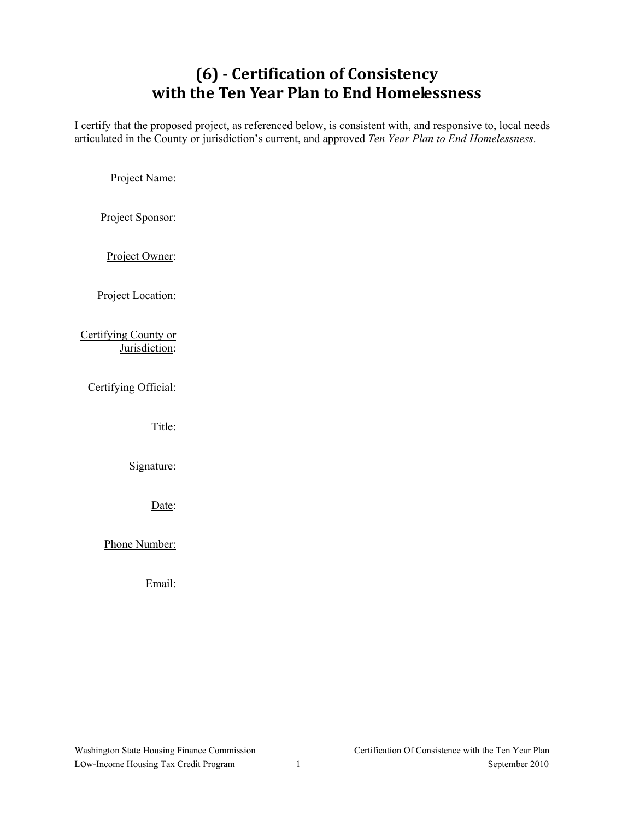# **(6) Certification of Consistency with the Ten Year Plan to End Homelessness**

I certify that the proposed project, as referenced below, is consistent with, and responsive to, local needs articulated in the County or jurisdiction's current, and approved *Ten Year Plan to End Homelessness*.

Project Name:

Project Sponsor:

Project Owner:

Project Location:

Certifying County or Jurisdiction:

Certifying Official:

Title:

Signature:

Date:

Phone Number:

Email: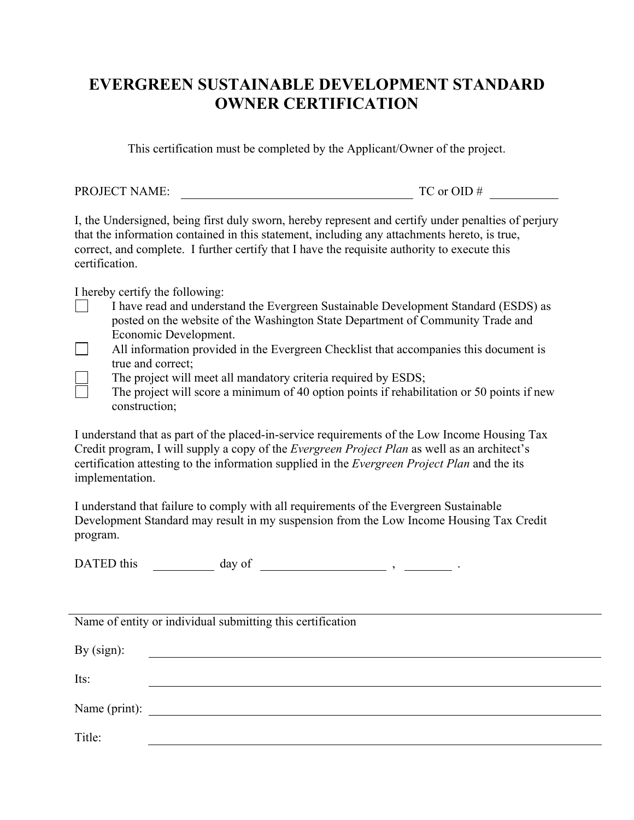### **EVERGREEN SUSTAINABLE DEVELOPMENT STANDARD OWNER CERTIFICATION**

This certification must be completed by the Applicant/Owner of the project.

PROJECT NAME: TC or OID #

I, the Undersigned, being first duly sworn, hereby represent and certify under penalties of perjury that the information contained in this statement, including any attachments hereto, is true, correct, and complete. I further certify that I have the requisite authority to execute this certification.

I hereby certify the following:

- I have read and understand the Evergreen Sustainable Development Standard (ESDS) as posted on the website of the Washington State Department of Community Trade and Economic Development.
- $\Box$  All information provided in the Evergreen Checklist that accompanies this document is true and correct;
	- The project will meet all mandatory criteria required by ESDS;
		- The project will score a minimum of 40 option points if rehabilitation or 50 points if new construction;

I understand that as part of the placed-in-service requirements of the Low Income Housing Tax Credit program, I will supply a copy of the *Evergreen Project Plan* as well as an architect's certification attesting to the information supplied in the *Evergreen Project Plan* and the its implementation.

I understand that failure to comply with all requirements of the Evergreen Sustainable Development Standard may result in my suspension from the Low Income Housing Tax Credit program.

DATED this  $\qquad \qquad \text{day of} \qquad \qquad \text{day}$ 

|               | Name of entity or individual submitting this certification |
|---------------|------------------------------------------------------------|
| By $(sign)$ : |                                                            |
| Its:          |                                                            |
|               |                                                            |
| Name (print): |                                                            |
| Title:        |                                                            |